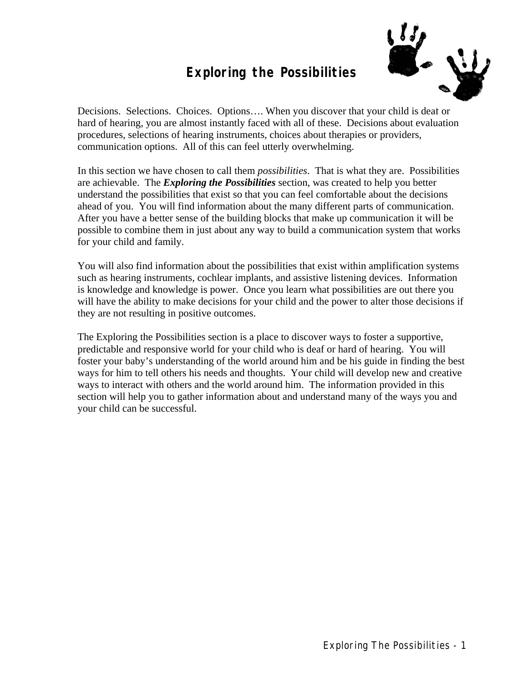#### **Exploring the Possibilities**



Decisions. Selections. Choices. Options…. When you discover that your child is deaf or hard of hearing, you are almost instantly faced with all of these. Decisions about evaluation procedures, selections of hearing instruments, choices about therapies or providers, communication options. All of this can feel utterly overwhelming.

In this section we have chosen to call them *possibilities*. That is what they are. Possibilities are achievable. The *Exploring the Possibilities* section, was created to help you better understand the possibilities that exist so that you can feel comfortable about the decisions ahead of you. You will find information about the many different parts of communication. After you have a better sense of the building blocks that make up communication it will be possible to combine them in just about any way to build a communication system that works for your child and family.

You will also find information about the possibilities that exist within amplification systems such as hearing instruments, cochlear implants, and assistive listening devices. Information is knowledge and knowledge is power. Once you learn what possibilities are out there you will have the ability to make decisions for your child and the power to alter those decisions if they are not resulting in positive outcomes.

The Exploring the Possibilities section is a place to discover ways to foster a supportive, predictable and responsive world for your child who is deaf or hard of hearing. You will foster your baby's understanding of the world around him and be his guide in finding the best ways for him to tell others his needs and thoughts. Your child will develop new and creative ways to interact with others and the world around him. The information provided in this section will help you to gather information about and understand many of the ways you and your child can be successful.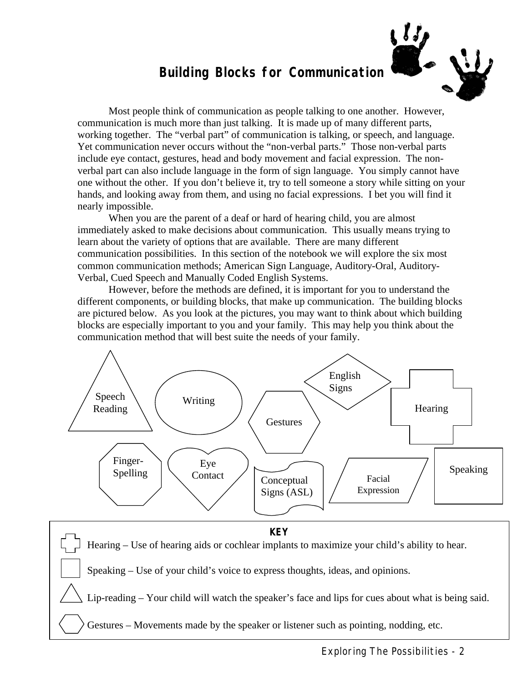#### **Building Blocks for Communication**



Most people think of communication as people talking to one another. However, communication is much more than just talking. It is made up of many different parts, working together. The "verbal part" of communication is talking, or speech, and language. Yet communication never occurs without the "non-verbal parts." Those non-verbal parts include eye contact, gestures, head and body movement and facial expression. The nonverbal part can also include language in the form of sign language. You simply cannot have one without the other. If you don't believe it, try to tell someone a story while sitting on your hands, and looking away from them, and using no facial expressions. I bet you will find it nearly impossible.

When you are the parent of a deaf or hard of hearing child, you are almost immediately asked to make decisions about communication. This usually means trying to learn about the variety of options that are available. There are many different communication possibilities. In this section of the notebook we will explore the six most common communication methods; American Sign Language, Auditory-Oral, Auditory-Verbal, Cued Speech and Manually Coded English Systems.

However, before the methods are defined, it is important for you to understand the different components, or building blocks, that make up communication. The building blocks are pictured below. As you look at the pictures, you may want to think about which building blocks are especially important to you and your family. This may help you think about the communication method that will best suite the needs of your family.



Hearing – Use of hearing aids or cochlear implants to maximize your child's ability to hear.

Speaking – Use of your child's voice to express thoughts, ideas, and opinions.

Lip-reading – Your child will watch the speaker's face and lips for cues about what is being said.

Gestures – Movements made by the speaker or listener such as pointing, nodding, etc.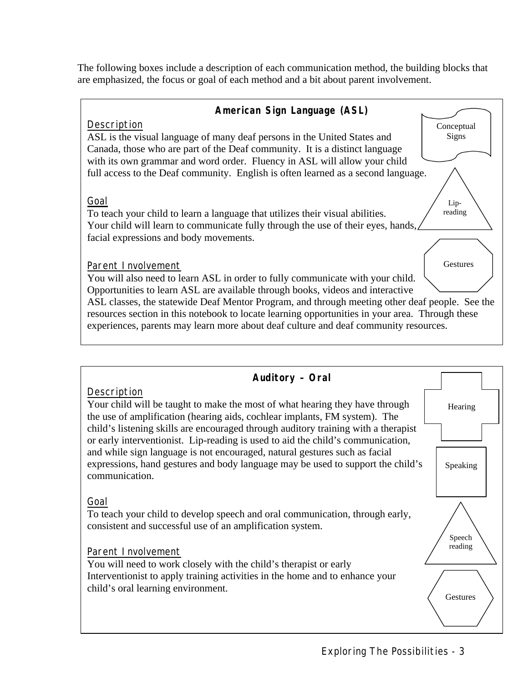The following boxes include a description of each communication method, the building blocks that are emphasized, the focus or goal of each method and a bit about parent involvement.



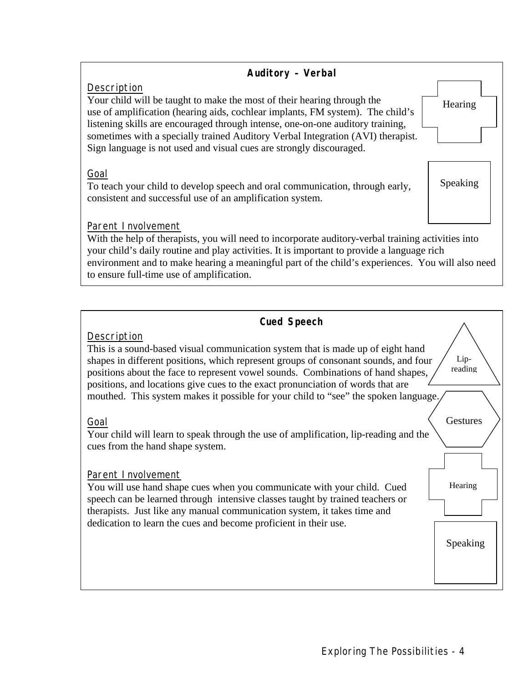

| <b>Cued Speech</b>                                                                                                                                                                                                                                                                                                                                                                                                                                  |                 |
|-----------------------------------------------------------------------------------------------------------------------------------------------------------------------------------------------------------------------------------------------------------------------------------------------------------------------------------------------------------------------------------------------------------------------------------------------------|-----------------|
| Description<br>This is a sound-based visual communication system that is made up of eight hand<br>shapes in different positions, which represent groups of consonant sounds, and four<br>positions about the face to represent vowel sounds. Combinations of hand shapes,<br>positions, and locations give cues to the exact pronunciation of words that are<br>mouthed. This system makes it possible for your child to "see" the spoken language. | Lip-<br>reading |
| Goal<br>Your child will learn to speak through the use of amplification, lip-reading and the<br>cues from the hand shape system.                                                                                                                                                                                                                                                                                                                    | Gestures        |
| Parent I nvolvement<br>You will use hand shape cues when you communicate with your child. Cued<br>speech can be learned through intensive classes taught by trained teachers or<br>therapists. Just like any manual communication system, it takes time and<br>dedication to learn the cues and become proficient in their use.                                                                                                                     | Hearing         |
|                                                                                                                                                                                                                                                                                                                                                                                                                                                     | Speaking        |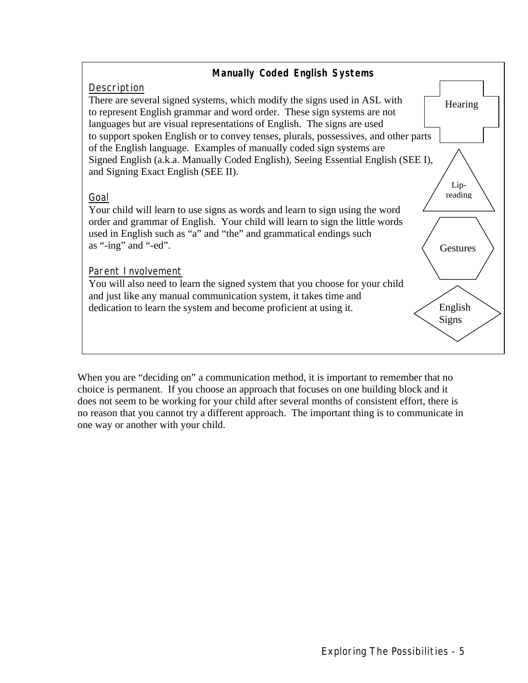

When you are "deciding on" a communication method, it is important to remember that no choice is permanent. If you choose an approach that focuses on one building block and it does not seem to be working for your child after several months of consistent effort, there is no reason that you cannot try a different approach. The important thing is to communicate in one way or another with your child.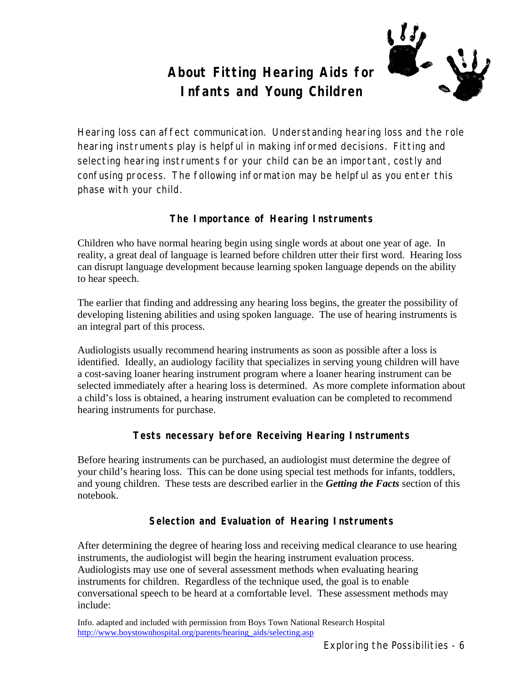#### **About Fitting Hearing Aids for Infants and Young Children**



Hearing loss can affect communication. Understanding hearing loss and the role hearing instruments play is helpful in making informed decisions. Fitting and selecting hearing instruments for your child can be an important, costly and confusing process. The following information may be helpful as you enter this phase with your child.

#### **The Importance of Hearing Instruments**

Children who have normal hearing begin using single words at about one year of age. In reality, a great deal of language is learned before children utter their first word. Hearing loss can disrupt language development because learning spoken language depends on the ability to hear speech.

The earlier that finding and addressing any hearing loss begins, the greater the possibility of developing listening abilities and using spoken language. The use of hearing instruments is an integral part of this process.

Audiologists usually recommend hearing instruments as soon as possible after a loss is identified. Ideally, an audiology facility that specializes in serving young children will have a cost-saving loaner hearing instrument program where a loaner hearing instrument can be selected immediately after a hearing loss is determined. As more complete information about a child's loss is obtained, a hearing instrument evaluation can be completed to recommend hearing instruments for purchase.

#### **Tests necessary before Receiving Hearing Instruments**

Before hearing instruments can be purchased, an audiologist must determine the degree of your child's hearing loss. This can be done using special test methods for infants, toddlers, and young children. These tests are described earlier in the *Getting the Facts* section of this notebook.

#### **Selection and Evaluation of Hearing Instruments**

After determining the degree of hearing loss and receiving medical clearance to use hearing instruments, the audiologist will begin the hearing instrument evaluation process. Audiologists may use one of several assessment methods when evaluating hearing instruments for children. Regardless of the technique used, the goal is to enable conversational speech to be heard at a comfortable level. These assessment methods may include:

Info. adapted and included with permission from Boys Town National Research Hospital http://www.boystownhospital.org/parents/hearing\_aids/selecting.asp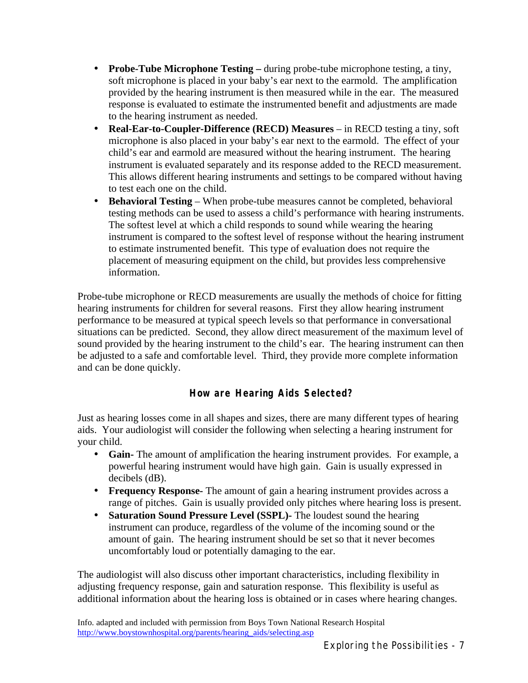- **Probe-Tube Microphone Testing –** during probe-tube microphone testing, a tiny, soft microphone is placed in your baby's ear next to the earmold. The amplification provided by the hearing instrument is then measured while in the ear. The measured response is evaluated to estimate the instrumented benefit and adjustments are made to the hearing instrument as needed.
- **Real-Ear-to-Coupler-Difference (RECD) Measures** in RECD testing a tiny, soft microphone is also placed in your baby's ear next to the earmold. The effect of your child's ear and earmold are measured without the hearing instrument. The hearing instrument is evaluated separately and its response added to the RECD measurement. This allows different hearing instruments and settings to be compared without having to test each one on the child.
- **Behavioral Testing** When probe-tube measures cannot be completed, behavioral testing methods can be used to assess a child's performance with hearing instruments. The softest level at which a child responds to sound while wearing the hearing instrument is compared to the softest level of response without the hearing instrument to estimate instrumented benefit. This type of evaluation does not require the placement of measuring equipment on the child, but provides less comprehensive information.

Probe-tube microphone or RECD measurements are usually the methods of choice for fitting hearing instruments for children for several reasons. First they allow hearing instrument performance to be measured at typical speech levels so that performance in conversational situations can be predicted. Second, they allow direct measurement of the maximum level of sound provided by the hearing instrument to the child's ear. The hearing instrument can then be adjusted to a safe and comfortable level. Third, they provide more complete information and can be done quickly.

#### **How are Hearing Aids Selected?**

Just as hearing losses come in all shapes and sizes, there are many different types of hearing aids. Your audiologist will consider the following when selecting a hearing instrument for your child.

- **Gain-** The amount of amplification the hearing instrument provides. For example, a powerful hearing instrument would have high gain. Gain is usually expressed in decibels (dB).
- **Frequency Response-** The amount of gain a hearing instrument provides across a range of pitches. Gain is usually provided only pitches where hearing loss is present.
- **Saturation Sound Pressure Level (SSPL)-** The loudest sound the hearing instrument can produce, regardless of the volume of the incoming sound or the amount of gain. The hearing instrument should be set so that it never becomes uncomfortably loud or potentially damaging to the ear.

The audiologist will also discuss other important characteristics, including flexibility in adjusting frequency response, gain and saturation response. This flexibility is useful as additional information about the hearing loss is obtained or in cases where hearing changes.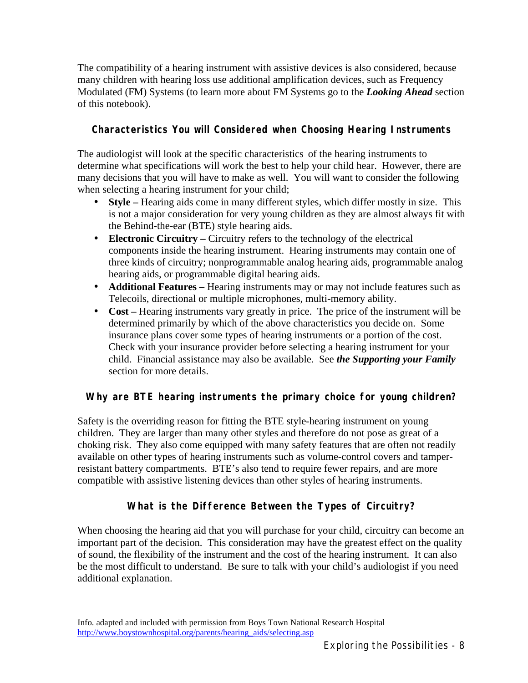The compatibility of a hearing instrument with assistive devices is also considered, because many children with hearing loss use additional amplification devices, such as Frequency Modulated (FM) Systems (to learn more about FM Systems go to the *Looking Ahead* section of this notebook).

#### **Characteristics You will Considered when Choosing Hearing Instruments**

The audiologist will look at the specific characteristics of the hearing instruments to determine what specifications will work the best to help your child hear. However, there are many decisions that you will have to make as well. You will want to consider the following when selecting a hearing instrument for your child;

- **Style –** Hearing aids come in many different styles, which differ mostly in size. This is not a major consideration for very young children as they are almost always fit with the Behind-the-ear (BTE) style hearing aids.
- **Electronic Circuitry** Circuitry refers to the technology of the electrical components inside the hearing instrument. Hearing instruments may contain one of three kinds of circuitry; nonprogrammable analog hearing aids, programmable analog hearing aids, or programmable digital hearing aids.
- **Additional Features –** Hearing instruments may or may not include features such as Telecoils, directional or multiple microphones, multi-memory ability.
- **Cost** Hearing instruments vary greatly in price. The price of the instrument will be determined primarily by which of the above characteristics you decide on. Some insurance plans cover some types of hearing instruments or a portion of the cost. Check with your insurance provider before selecting a hearing instrument for your child. Financial assistance may also be available. See *the Supporting your Family* section for more details.

#### **Why are BTE hearing instruments the primary choice for young children?**

Safety is the overriding reason for fitting the BTE style-hearing instrument on young children. They are larger than many other styles and therefore do not pose as great of a choking risk. They also come equipped with many safety features that are often not readily available on other types of hearing instruments such as volume-control covers and tamperresistant battery compartments. BTE's also tend to require fewer repairs, and are more compatible with assistive listening devices than other styles of hearing instruments.

#### **What is the Difference Between the Types of Circuitry?**

When choosing the hearing aid that you will purchase for your child, circuitry can become an important part of the decision. This consideration may have the greatest effect on the quality of sound, the flexibility of the instrument and the cost of the hearing instrument. It can also be the most difficult to understand. Be sure to talk with your child's audiologist if you need additional explanation.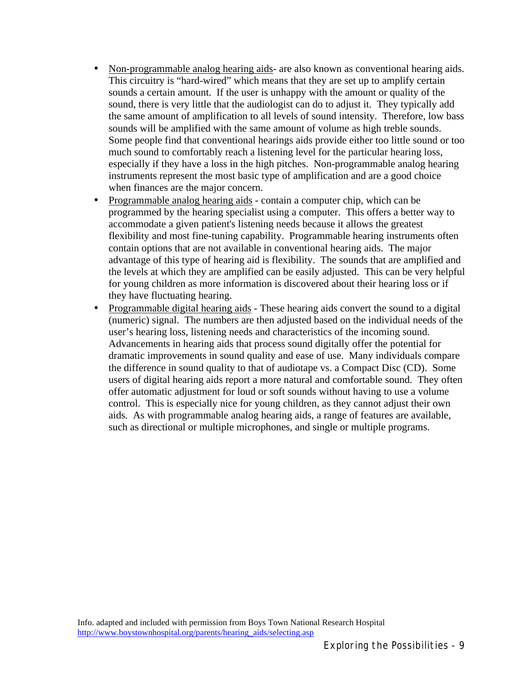- Non-programmable analog hearing aids- are also known as conventional hearing aids. This circuitry is "hard-wired" which means that they are set up to amplify certain sounds a certain amount. If the user is unhappy with the amount or quality of the sound, there is very little that the audiologist can do to adjust it. They typically add the same amount of amplification to all levels of sound intensity. Therefore, low bass sounds will be amplified with the same amount of volume as high treble sounds. Some people find that conventional hearings aids provide either too little sound or too much sound to comfortably reach a listening level for the particular hearing loss, especially if they have a loss in the high pitches. Non-programmable analog hearing instruments represent the most basic type of amplification and are a good choice when finances are the major concern.
- Programmable analog hearing aids contain a computer chip, which can be programmed by the hearing specialist using a computer. This offers a better way to accommodate a given patient's listening needs because it allows the greatest flexibility and most fine-tuning capability. Programmable hearing instruments often contain options that are not available in conventional hearing aids. The major advantage of this type of hearing aid is flexibility. The sounds that are amplified and the levels at which they are amplified can be easily adjusted. This can be very helpful for young children as more information is discovered about their hearing loss or if they have fluctuating hearing.
- Programmable digital hearing aids These hearing aids convert the sound to a digital (numeric) signal. The numbers are then adjusted based on the individual needs of the user's hearing loss, listening needs and characteristics of the incoming sound. Advancements in hearing aids that process sound digitally offer the potential for dramatic improvements in sound quality and ease of use. Many individuals compare the difference in sound quality to that of audiotape vs. a Compact Disc (CD). Some users of digital hearing aids report a more natural and comfortable sound. They often offer automatic adjustment for loud or soft sounds without having to use a volume control. This is especially nice for young children, as they cannot adjust their own aids. As with programmable analog hearing aids, a range of features are available, such as directional or multiple microphones, and single or multiple programs.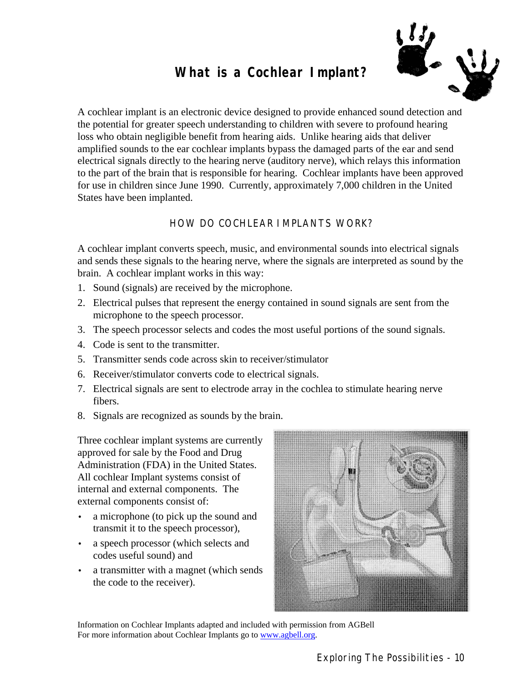#### **What is a Cochlear Implant?**



A cochlear implant is an electronic device designed to provide enhanced sound detection and the potential for greater speech understanding to children with severe to profound hearing loss who obtain negligible benefit from hearing aids. Unlike hearing aids that deliver amplified sounds to the ear cochlear implants bypass the damaged parts of the ear and send electrical signals directly to the hearing nerve (auditory nerve), which relays this information to the part of the brain that is responsible for hearing. Cochlear implants have been approved for use in children since June 1990. Currently, approximately 7,000 children in the United States have been implanted.

#### HOW DO COCHLEAR IMPLANTS WORK?

A cochlear implant converts speech, music, and environmental sounds into electrical signals and sends these signals to the hearing nerve, where the signals are interpreted as sound by the brain. A cochlear implant works in this way:

- 1. Sound (signals) are received by the microphone.
- 2. Electrical pulses that represent the energy contained in sound signals are sent from the microphone to the speech processor.
- 3. The speech processor selects and codes the most useful portions of the sound signals.
- 4. Code is sent to the transmitter.
- 5. Transmitter sends code across skin to receiver/stimulator
- 6. Receiver/stimulator converts code to electrical signals.
- 7. Electrical signals are sent to electrode array in the cochlea to stimulate hearing nerve fibers.
- 8. Signals are recognized as sounds by the brain.

Three cochlear implant systems are currently approved for sale by the Food and Drug Administration (FDA) in the United States. All cochlear Implant systems consist of internal and external components. The external components consist of:

- a microphone (to pick up the sound and transmit it to the speech processor),
- a speech processor (which selects and codes useful sound) and
- a transmitter with a magnet (which sends) the code to the receiver).



Information on Cochlear Implants adapted and included with permission from AGBell For more information about Cochlear Implants go to www.agbell.org.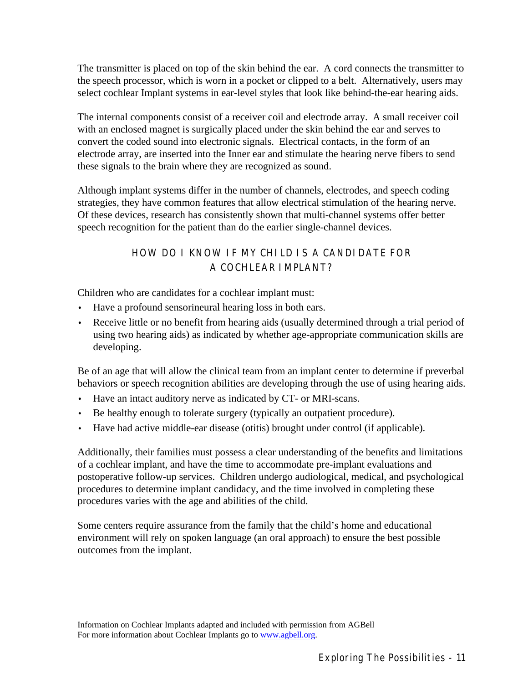The transmitter is placed on top of the skin behind the ear. A cord connects the transmitter to the speech processor, which is worn in a pocket or clipped to a belt. Alternatively, users may select cochlear Implant systems in ear-level styles that look like behind-the-ear hearing aids.

The internal components consist of a receiver coil and electrode array. A small receiver coil with an enclosed magnet is surgically placed under the skin behind the ear and serves to convert the coded sound into electronic signals. Electrical contacts, in the form of an electrode array, are inserted into the Inner ear and stimulate the hearing nerve fibers to send these signals to the brain where they are recognized as sound.

Although implant systems differ in the number of channels, electrodes, and speech coding strategies, they have common features that allow electrical stimulation of the hearing nerve. Of these devices, research has consistently shown that multi-channel systems offer better speech recognition for the patient than do the earlier single-channel devices.

#### HOW DO I KNOW IF MY CHILD IS A CANDIDATE FOR A COCHLEAR IMPLANT?

Children who are candidates for a cochlear implant must:

- Have a profound sensorineural hearing loss in both ears.
- Receive little or no benefit from hearing aids (usually determined through a trial period of using two hearing aids) as indicated by whether age-appropriate communication skills are developing.

Be of an age that will allow the clinical team from an implant center to determine if preverbal behaviors or speech recognition abilities are developing through the use of using hearing aids.

- Have an intact auditory nerve as indicated by CT- or MRI-scans.
- Be healthy enough to tolerate surgery (typically an outpatient procedure).
- Have had active middle-ear disease (otitis) brought under control (if applicable).

Additionally, their families must possess a clear understanding of the benefits and limitations of a cochlear implant, and have the time to accommodate pre-implant evaluations and postoperative follow-up services. Children undergo audiological, medical, and psychological procedures to determine implant candidacy, and the time involved in completing these procedures varies with the age and abilities of the child.

Some centers require assurance from the family that the child's home and educational environment will rely on spoken language (an oral approach) to ensure the best possible outcomes from the implant.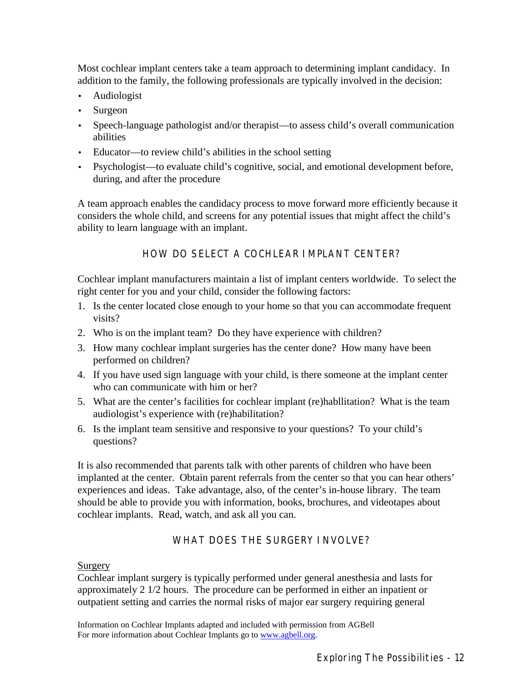Most cochlear implant centers take a team approach to determining implant candidacy. In addition to the family, the following professionals are typically involved in the decision:

- Audiologist
- Surgeon
- Speech-language pathologist and/or therapist—to assess child's overall communication abilities
- Educator—to review child's abilities in the school setting
- Psychologist—to evaluate child's cognitive, social, and emotional development before, during, and after the procedure

A team approach enables the candidacy process to move forward more efficiently because it considers the whole child, and screens for any potential issues that might affect the child's ability to learn language with an implant.

HOW DO SELECT A COCHLEAR IMPLANT CENTER?

Cochlear implant manufacturers maintain a list of implant centers worldwide. To select the right center for you and your child, consider the following factors:

- 1. Is the center located close enough to your home so that you can accommodate frequent visits?
- 2. Who is on the implant team? Do they have experience with children?
- 3. How many cochlear implant surgeries has the center done? How many have been performed on children?
- 4. If you have used sign language with your child, is there someone at the implant center who can communicate with him or her?
- 5. What are the center's facilities for cochlear implant (re)habllitation? What is the team audiologist's experience with (re)habilitation?
- 6. Is the implant team sensitive and responsive to your questions? To your child's questions?

It is also recommended that parents talk with other parents of children who have been implanted at the center. Obtain parent referrals from the center so that you can hear others' experiences and ideas. Take advantage, also, of the center's in-house library. The team should be able to provide you with information, books, brochures, and videotapes about cochlear implants. Read, watch, and ask all you can.

#### WHAT DOES THE SURGERY INVOLVE?

#### Surgery

Cochlear implant surgery is typically performed under general anesthesia and lasts for approximately 2 1/2 hours. The procedure can be performed in either an inpatient or outpatient setting and carries the normal risks of major ear surgery requiring general

Information on Cochlear Implants adapted and included with permission from AGBell For more information about Cochlear Implants go to www.agbell.org.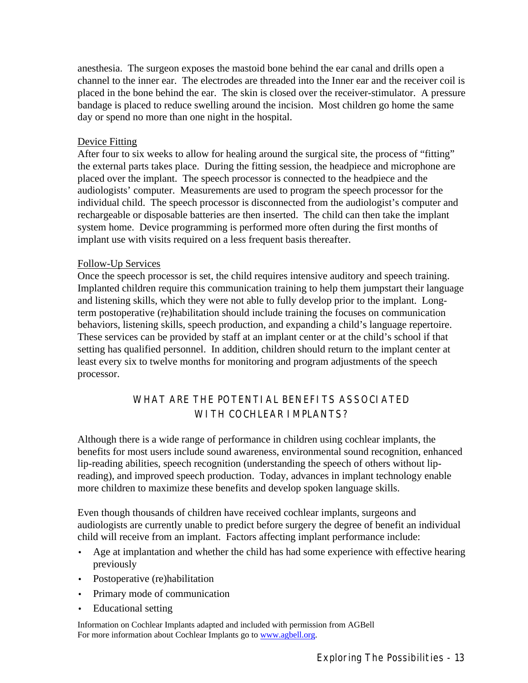anesthesia. The surgeon exposes the mastoid bone behind the ear canal and drills open a channel to the inner ear. The electrodes are threaded into the Inner ear and the receiver coil is placed in the bone behind the ear. The skin is closed over the receiver-stimulator. A pressure bandage is placed to reduce swelling around the incision. Most children go home the same day or spend no more than one night in the hospital.

#### Device Fitting

After four to six weeks to allow for healing around the surgical site, the process of "fitting" the external parts takes place. During the fitting session, the headpiece and microphone are placed over the implant. The speech processor is connected to the headpiece and the audiologists' computer. Measurements are used to program the speech processor for the individual child. The speech processor is disconnected from the audiologist's computer and rechargeable or disposable batteries are then inserted. The child can then take the implant system home. Device programming is performed more often during the first months of implant use with visits required on a less frequent basis thereafter.

#### Follow-Up Services

Once the speech processor is set, the child requires intensive auditory and speech training. Implanted children require this communication training to help them jumpstart their language and listening skills, which they were not able to fully develop prior to the implant. Longterm postoperative (re)habilitation should include training the focuses on communication behaviors, listening skills, speech production, and expanding a child's language repertoire. These services can be provided by staff at an implant center or at the child's school if that setting has qualified personnel. In addition, children should return to the implant center at least every six to twelve months for monitoring and program adjustments of the speech processor.

#### WHAT ARE THE POTENTIAL BENEFITS ASSOCIATED WITH COCHI FAR IMPLANTS?

Although there is a wide range of performance in children using cochlear implants, the benefits for most users include sound awareness, environmental sound recognition, enhanced lip-reading abilities, speech recognition (understanding the speech of others without lipreading), and improved speech production. Today, advances in implant technology enable more children to maximize these benefits and develop spoken language skills.

Even though thousands of children have received cochlear implants, surgeons and audiologists are currently unable to predict before surgery the degree of benefit an individual child will receive from an implant. Factors affecting implant performance include:

- Age at implantation and whether the child has had some experience with effective hearing previously
- Postoperative (re)habilitation
- Primary mode of communication
- Educational setting

Information on Cochlear Implants adapted and included with permission from AGBell For more information about Cochlear Implants go to www.agbell.org.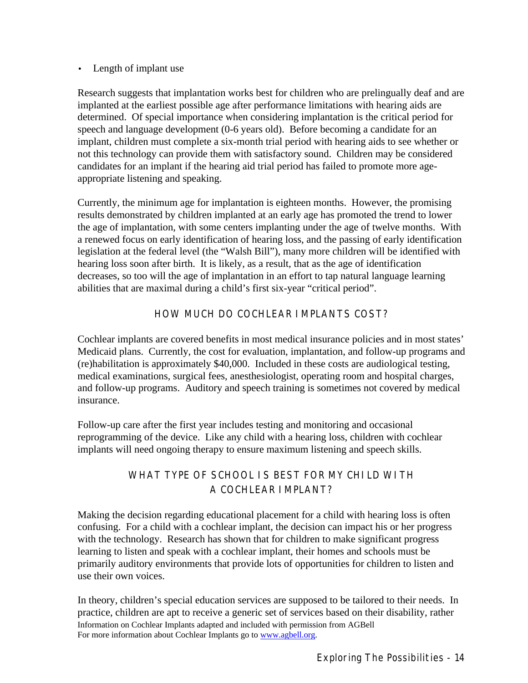#### • Length of implant use

Research suggests that implantation works best for children who are prelingually deaf and are implanted at the earliest possible age after performance limitations with hearing aids are determined. Of special importance when considering implantation is the critical period for speech and language development (0-6 years old). Before becoming a candidate for an implant, children must complete a six-month trial period with hearing aids to see whether or not this technology can provide them with satisfactory sound. Children may be considered candidates for an implant if the hearing aid trial period has failed to promote more ageappropriate listening and speaking.

Currently, the minimum age for implantation is eighteen months. However, the promising results demonstrated by children implanted at an early age has promoted the trend to lower the age of implantation, with some centers implanting under the age of twelve months. With a renewed focus on early identification of hearing loss, and the passing of early identification legislation at the federal level (the "Walsh Bill"), many more children will be identified with hearing loss soon after birth. It is likely, as a result, that as the age of identification decreases, so too will the age of implantation in an effort to tap natural language learning abilities that are maximal during a child's first six-year "critical period".

#### HOW MUCH DO COCHLEAR IMPLANTS COST?

Cochlear implants are covered benefits in most medical insurance policies and in most states' Medicaid plans. Currently, the cost for evaluation, implantation, and follow-up programs and (re)habilitation is approximately \$40,000. Included in these costs are audiological testing, medical examinations, surgical fees, anesthesiologist, operating room and hospital charges, and follow-up programs. Auditory and speech training is sometimes not covered by medical insurance.

Follow-up care after the first year includes testing and monitoring and occasional reprogramming of the device. Like any child with a hearing loss, children with cochlear implants will need ongoing therapy to ensure maximum listening and speech skills.

#### WHAT TYPE OF SCHOOL IS BEST FOR MY CHILD WITH A COCHLEAR IMPLANT?

Making the decision regarding educational placement for a child with hearing loss is often confusing. For a child with a cochlear implant, the decision can impact his or her progress with the technology. Research has shown that for children to make significant progress learning to listen and speak with a cochlear implant, their homes and schools must be primarily auditory environments that provide lots of opportunities for children to listen and use their own voices.

Information on Cochlear Implants adapted and included with permission from AGBell For more information about Cochlear Implants go to www.agbell.org. In theory, children's special education services are supposed to be tailored to their needs. In practice, children are apt to receive a generic set of services based on their disability, rather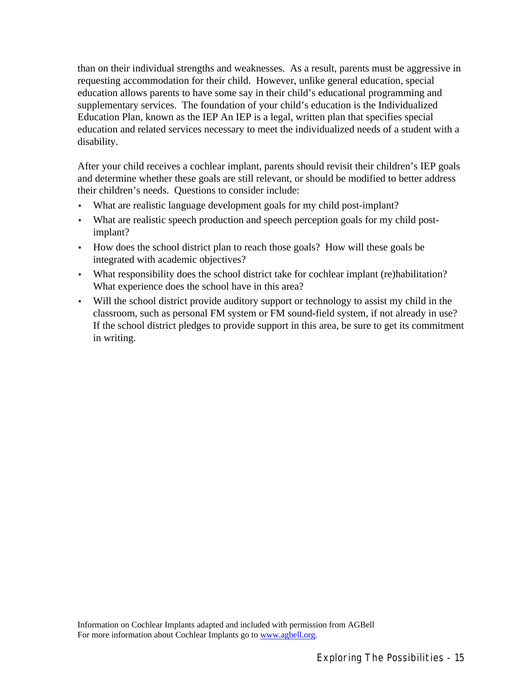than on their individual strengths and weaknesses. As a result, parents must be aggressive in requesting accommodation for their child. However, unlike general education, special education allows parents to have some say in their child's educational programming and supplementary services. The foundation of your child's education is the Individualized Education Plan, known as the IEP An IEP is a legal, written plan that specifies special education and related services necessary to meet the individualized needs of a student with a disability.

After your child receives a cochlear implant, parents should revisit their children's IEP goals and determine whether these goals are still relevant, or should be modified to better address their children's needs. Questions to consider include:

- What are realistic language development goals for my child post-implant?
- What are realistic speech production and speech perception goals for my child postimplant?
- How does the school district plan to reach those goals? How will these goals be integrated with academic objectives?
- What responsibility does the school district take for cochlear implant (re)habilitation? What experience does the school have in this area?
- Will the school district provide auditory support or technology to assist my child in the classroom, such as personal FM system or FM sound-field system, if not already in use? If the school district pledges to provide support in this area, be sure to get its commitment in writing.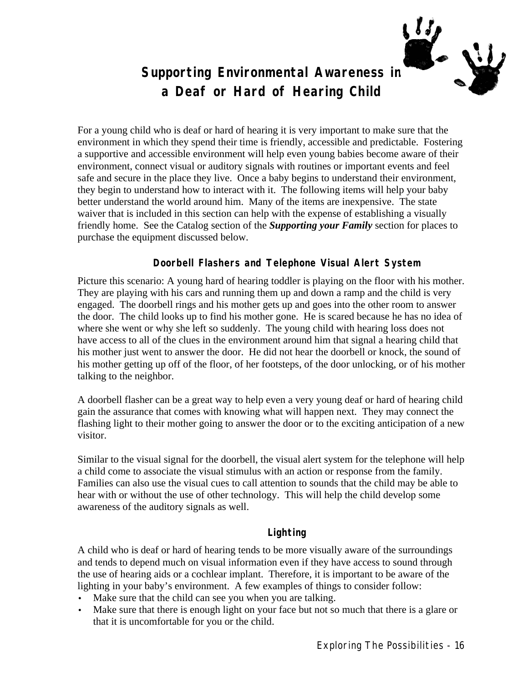#### **Supporting Environmental Awareness in a Deaf or Hard of Hearing Child**

For a young child who is deaf or hard of hearing it is very important to make sure that the environment in which they spend their time is friendly, accessible and predictable. Fostering a supportive and accessible environment will help even young babies become aware of their environment, connect visual or auditory signals with routines or important events and feel safe and secure in the place they live. Once a baby begins to understand their environment, they begin to understand how to interact with it. The following items will help your baby better understand the world around him. Many of the items are inexpensive. The state waiver that is included in this section can help with the expense of establishing a visually friendly home. See the Catalog section of the *Supporting your Family* section for places to purchase the equipment discussed below.

#### **Doorbell Flashers and Telephone Visual Alert System**

Picture this scenario: A young hard of hearing toddler is playing on the floor with his mother. They are playing with his cars and running them up and down a ramp and the child is very engaged. The doorbell rings and his mother gets up and goes into the other room to answer the door. The child looks up to find his mother gone. He is scared because he has no idea of where she went or why she left so suddenly. The young child with hearing loss does not have access to all of the clues in the environment around him that signal a hearing child that his mother just went to answer the door. He did not hear the doorbell or knock, the sound of his mother getting up off of the floor, of her footsteps, of the door unlocking, or of his mother talking to the neighbor.

A doorbell flasher can be a great way to help even a very young deaf or hard of hearing child gain the assurance that comes with knowing what will happen next. They may connect the flashing light to their mother going to answer the door or to the exciting anticipation of a new visitor.

Similar to the visual signal for the doorbell, the visual alert system for the telephone will help a child come to associate the visual stimulus with an action or response from the family. Families can also use the visual cues to call attention to sounds that the child may be able to hear with or without the use of other technology. This will help the child develop some awareness of the auditory signals as well.

#### **Lighting**

A child who is deaf or hard of hearing tends to be more visually aware of the surroundings and tends to depend much on visual information even if they have access to sound through the use of hearing aids or a cochlear implant. Therefore, it is important to be aware of the lighting in your baby's environment. A few examples of things to consider follow:

- Make sure that the child can see you when you are talking.
- Make sure that there is enough light on your face but not so much that there is a glare or that it is uncomfortable for you or the child.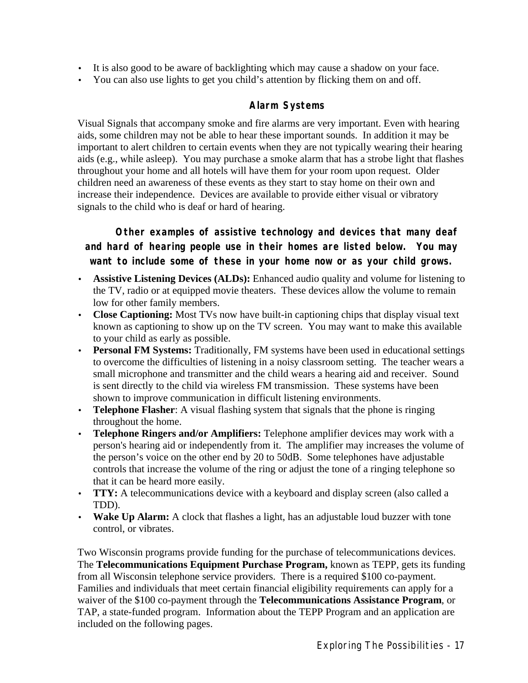- It is also good to be aware of backlighting which may cause a shadow on your face.
- You can also use lights to get you child's attention by flicking them on and off.

#### **Alarm Systems**

Visual Signals that accompany smoke and fire alarms are very important. Even with hearing aids, some children may not be able to hear these important sounds. In addition it may be important to alert children to certain events when they are not typically wearing their hearing aids (e.g., while asleep). You may purchase a smoke alarm that has a strobe light that flashes throughout your home and all hotels will have them for your room upon request. Older children need an awareness of these events as they start to stay home on their own and increase their independence. Devices are available to provide either visual or vibratory signals to the child who is deaf or hard of hearing.

**Other examples of assistive technology and devices that many deaf and hard of hearing people use in their homes are listed below. You may want to include some of these in your home now or as your child grows.**

- **Assistive Listening Devices (ALDs):** Enhanced audio quality and volume for listening to the TV, radio or at equipped movie theaters. These devices allow the volume to remain low for other family members.
- **Close Captioning:** Most TVs now have built-in captioning chips that display visual text known as captioning to show up on the TV screen. You may want to make this available to your child as early as possible.
- **Personal FM Systems:** Traditionally, FM systems have been used in educational settings to overcome the difficulties of listening in a noisy classroom setting. The teacher wears a small microphone and transmitter and the child wears a hearing aid and receiver. Sound is sent directly to the child via wireless FM transmission. These systems have been shown to improve communication in difficult listening environments.
- **Telephone Flasher**: A visual flashing system that signals that the phone is ringing throughout the home.
- **Telephone Ringers and/or Amplifiers:** Telephone amplifier devices may work with a person's hearing aid or independently from it. The amplifier may increases the volume of the person's voice on the other end by 20 to 50dB. Some telephones have adjustable controls that increase the volume of the ring or adjust the tone of a ringing telephone so that it can be heard more easily.
- **TTY:** A telecommunications device with a keyboard and display screen (also called a TDD).
- **Wake Up Alarm:** A clock that flashes a light, has an adjustable loud buzzer with tone control, or vibrates.

Two Wisconsin programs provide funding for the purchase of telecommunications devices. The **Telecommunications Equipment Purchase Program,** known as TEPP, gets its funding from all Wisconsin telephone service providers. There is a required \$100 co-payment. Families and individuals that meet certain financial eligibility requirements can apply for a waiver of the \$100 co-payment through the **Telecommunications Assistance Program**, or TAP, a state-funded program. Information about the TEPP Program and an application are included on the following pages.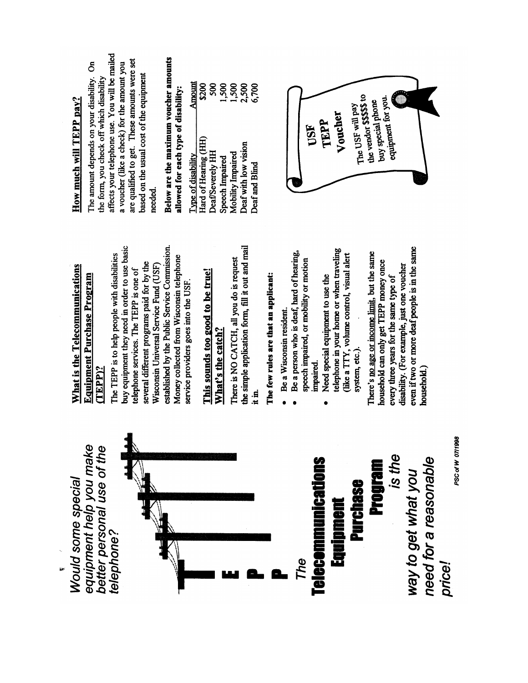equipment help you make better personal use of the Would some special telephone?



### **Froutain** Purchase Equipment

is the need for a reasonable way to get what you price!

PSC of W 07/1998

### What is the Telecommunications **Equipment Purchase Program**  $(TEPP)$ ?

buy equipment they need in order to use basic established by the Public Service Commission. The TEPP is to help people with disabilities Money collected from Wisconsin telephone several different programs paid for by the Wisconsin Universal Service Fund (USF) telephone services. The TEPP is one of service providers goes into the USF.

## This sounds too good to be true! What's the catch?

the simple application form, fill it out and mail There is NO CATCH, all you do is request  $\ddot{u}$ 

# The few rules are that an applicant:

- · Be a Wisconsin resident.
- Be a person who is deaf, hard of hearing, speech impaired, or mobility or motion impaired.  $\bullet$ 
	- telephone in your home or when traveling (like a TTY, volume control, visual alert Need special equipment to use the system, etc.).  $\bullet$

even if two or more deaf people is in the same There's no age or income limit, but the same household can only get TEPP money once disability. (For example, just one voucher every three years for the same type of nousehold.)

# How much will TEPP pay?

affects your telephone use. You will be mailed are qualified to get. These amounts were set The amount depends on your disability. On a voucher (like a check) for the amount you based on the usual cost of the equipment the form, you check off which disability needed.

## Below are the maximum voucher amounts allowed for each type of disability:

| ֢֦֧֢ׅ֦֦֦֧֚֚֚֚֚֚֚֬֓֓֓֓֓֓֓֓֡֓֓֓֓֡֓֓֡֓֡֓֡֓֡֓֓֡֓֓֓ |               |
|------------------------------------------------|---------------|
| Type of disability                             | <b>Amount</b> |
| Hard of Hearing (HH)                           | <b>\$200</b>  |
| Deaf/Severely HH                               | ຣິ            |
| Speech Impaired                                | 1,500         |
| Mobility Impaired                              | 1,500         |
| Deaf with low vision                           | 2,500         |
| Deaf and Blind                                 | 6,700         |

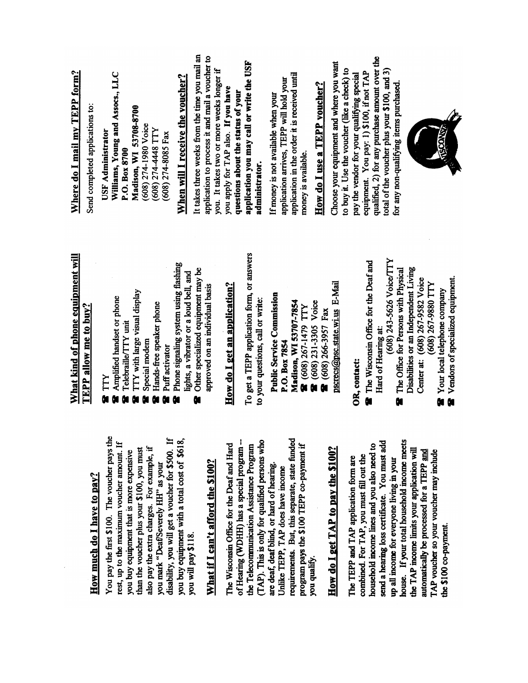|                                                                                        | What kind of phone equipment will                                               | Where do I mail my TEPP form?                                                          |
|----------------------------------------------------------------------------------------|---------------------------------------------------------------------------------|----------------------------------------------------------------------------------------|
| How much do I have to pay?                                                             | $\bf{TEPP}$ allow me to buy?                                                    | Send completed applications to:                                                        |
| You pay the first \$100. The voucher pays the                                          | TTY<br>Ō.                                                                       | <b>USF</b> Administrator                                                               |
| rest, up to the maximum voucher amount. If                                             | Amplified handset or phone<br>Telebraille/TTY unit                              | Williams, Young and Assocs., LLC<br>P.O. Box 8700                                      |
| than the voucher plus your \$100, you must<br>you buy equipment that is more expensive | TTY with large visual display                                                   | Madison, WI 53708-8700                                                                 |
| also pay the extra charges. For example, if                                            | Special modem                                                                   | (608) 274-1980 Voice                                                                   |
| you mark "Deaf'Severely HH" as your                                                    | Hands-free speaker phone                                                        | (608) 274-4448 TTY                                                                     |
| disability, you will get a voucher for \$500. If                                       | Puff activator                                                                  | $(608)$ 274-8085 Fax                                                                   |
| you buy equipment with a total cost of \$618,                                          | Phone signaling system using flashing<br>lights, a vibrator or a loud bell, and | When will I receive the voucher?                                                       |
| you will pay \$118.                                                                    | Other specialized equipment may be<br>û                                         | It takes three weeks from the time you mail an                                         |
| What if I can't afford the \$100?                                                      | approved on an individual basis                                                 | application to process it and mail a voucher to                                        |
|                                                                                        |                                                                                 | you. It takes two or more weeks longer if                                              |
| The Wisconsin Office for the Deaf and Hard                                             | How do I get an application?                                                    | you apply for TAP also. If you have                                                    |
| of Hearing (WDHH) has a special program --                                             |                                                                                 | questions about the status of your                                                     |
| the Telecommunication Assistance Program                                               | To get a TEPP application form, or answers                                      | application you may call or write the USF                                              |
| (TAP). This is only for qualified persons who                                          | to your questions, call or write:                                               | administrator.                                                                         |
| are deaf, deaf blind, or hard of hearing.                                              | <b>Public Service Commission</b>                                                | If money is not available when your                                                    |
| Unlike TEPP, TAP does have income                                                      | P.O. Box 7854                                                                   | application arrives, TEPP will hold your                                               |
| requirements. But, this separate, state funded                                         | Madison, WI 53707-7854                                                          | application in the order it is received until                                          |
| program pays the \$100 TEPP co-payment if                                              | 8 (608) 267-1479 TTY                                                            | money is available.                                                                    |
| you qualify.                                                                           | <b>a</b> (608) 231-3305 Voice                                                   | How do I use a TEPP voucher?                                                           |
|                                                                                        | 8 (608) 266-3957 Fax                                                            |                                                                                        |
| How do I get TAP to pay the $$100?$                                                    | pscrecs@psc.state.wi.us E-Mail                                                  | Choose your equipment and where you want                                               |
| The TEPP and TAP application form are                                                  |                                                                                 | to buy it. Use the voucher (like a check) to                                           |
| combined. For TAP, you must fill out the                                               | OR, contact:                                                                    | pay the vendor for your qualifying special                                             |
| household income lines and you also need to                                            | The Wisconsin Office for the Deaf and                                           | equipment. You pay: 1) \$100, if not TAP                                               |
| send a hearing loss certificate. You must add                                          | Hard of Hearing at:                                                             | qualified, 2) for any purchase amount over the                                         |
| up all income for everyone living in your                                              | (608) 243-5626 Voice/TTY                                                        | total of the voucher plus your \$100, and 3)<br>for any non-qualifying items purchased |
| house. If your total household income meets                                            | The Office for Persons with Physical<br>N                                       |                                                                                        |
| the TAP income limits your application will                                            | Disabilities or an Independent Living                                           |                                                                                        |
| automatically be processed for a TEPP and                                              | Center at: (608) 267-9582 Voice<br>(608) 267-9880 TTY                           |                                                                                        |
| TAP voucher so your voucher may include                                                | $\ddot{\phantom{a}}$                                                            |                                                                                        |

 $\hat{\boldsymbol{\epsilon}}$ 

**a** Your local telephone company<br>**a** Vendors of specialized equipment.

the \$100 co-payment.